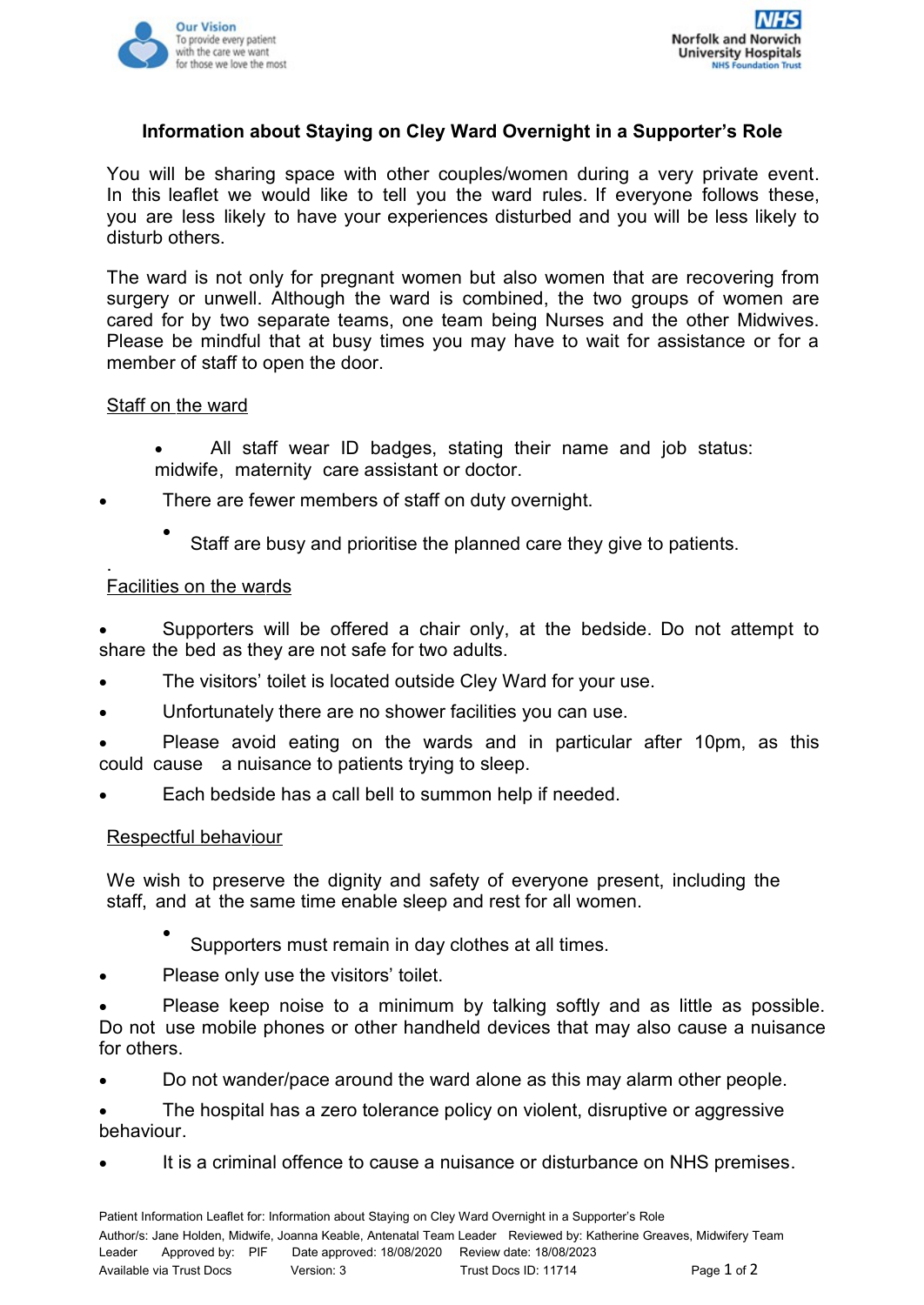



# **Information about Staying on Cley Ward Overnight in a Supporter's Role**

You will be sharing space with other couples/women during a very private event. In this leaflet we would like to tell you the ward rules. If everyone follows these, you are less likely to have your experiences disturbed and you will be less likely to disturb others.

The ward is not only for pregnant women but also women that are recovering from surgery or unwell. Although the ward is combined, the two groups of women are cared for by two separate teams, one team being Nurses and the other Midwives. Please be mindful that at busy times you may have to wait for assistance or for a member of staff to open the door.

## Staff on the ward

- All staff wear ID badges, stating their name and job status: midwife, maternity care assistant or doctor.
- There are fewer members of staff on duty overnight.
	- $\bullet$ Staff are busy and prioritise the planned care they give to patients.

#### . Facilities on the wards

 Supporters will be offered a chair only, at the bedside. Do not attempt to share the bed as they are not safe for two adults.

- The visitors' toilet is located outside Cley Ward for your use.
- Unfortunately there are no shower facilities you can use.
- Please avoid eating on the wards and in particular after 10pm, as this could cause a nuisance to patients trying to sleep.
- Each bedside has a call bell to summon help if needed.

## Respectful behaviour

We wish to preserve the dignity and safety of everyone present, including the staff, and at the same time enable sleep and rest for all women.

- $\bullet$ Supporters must remain in day clothes at all times.
- Please only use the visitors' toilet.

 Please keep noise to a minimum by talking softly and as little as possible. Do not use mobile phones or other handheld devices that may also cause a nuisance for others.

Do not wander/pace around the ward alone as this may alarm other people.

 The hospital has a zero tolerance policy on violent, disruptive or aggressive behaviour.

It is a criminal offence to cause a nuisance or disturbance on NHS premises.